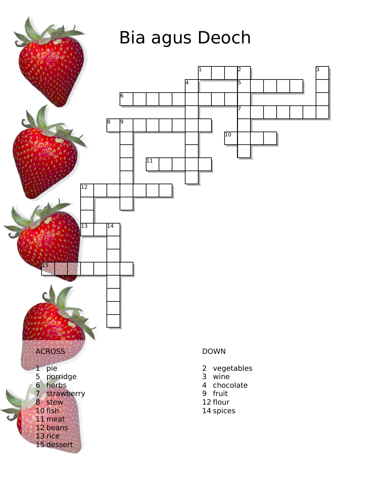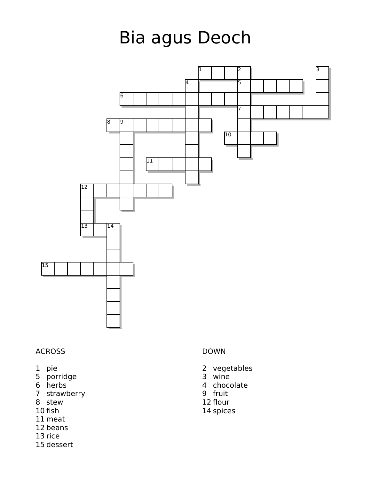## Bia agus Deoch



## ACROSS

- pie
- porridge
- herbs
- strawberry
- stew
- fish
- meat
- beans
- rice
- dessert

## DOWN

- vegetables
- wine
- chocolate
- fruit
- flour
- spices